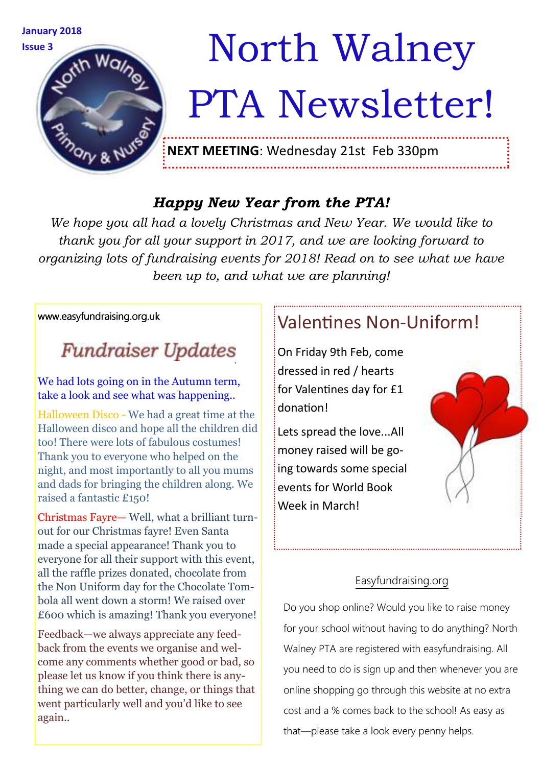

# Issue 3 **Movement Walney** PTA Newsletter!

**NEXT MEETING**: Wednesday 21st Feb 330pm

#### *Happy New Year from the PTA!*

*We hope you all had a lovely Christmas and New Year. We would like to thank you for all your support in 2017, and we are looking forward to organizing lots of fundraising events for 2018! Read on to see what we have been up to, and what we are planning!* 

#### www.easyfundraising.org.uk

## **Fundraiser Updates**

We had lots going on in the Autumn term, take a look and see what was happening..

Halloween Disco - We had a great time at the Halloween disco and hope all the children did too! There were lots of fabulous costumes! Thank you to everyone who helped on the night, and most importantly to all you mums and dads for bringing the children along. We raised a fantastic £150!

Christmas Fayre— Well, what a brilliant turnout for our Christmas fayre! Even Santa made a special appearance! Thank you to everyone for all their support with this event, all the raffle prizes donated, chocolate from the Non Uniform day for the Chocolate Tombola all went down a storm! We raised over £600 which is amazing! Thank you everyone!

Feedback—we always appreciate any feedback from the events we organise and welcome any comments whether good or bad, so please let us know if you think there is anything we can do better, change, or things that went particularly well and you'd like to see again..

### Valentines Non-Uniform!

On Friday 9th Feb, come dressed in red / hearts for Valentines day for £1 donation!

Lets spread the love...All money raised will be going towards some special events for World Book Week in March!

#### Easyfundraising.org

Do you shop online? Would you like to raise money for your school without having to do anything? North Walney PTA are registered with easyfundraising. All you need to do is sign up and then whenever you are online shopping go through this website at no extra cost and a % comes back to the school! As easy as that—please take a look every penny helps.